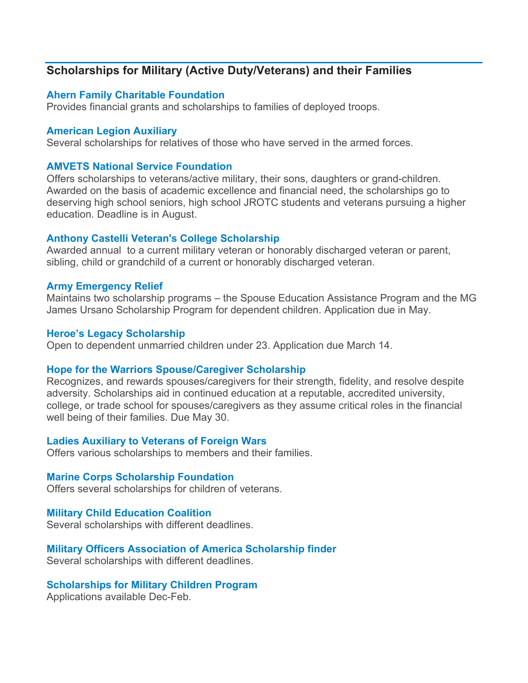# **Scholarships for Military (Active Duty/Veterans) and their Families**

# **[Ahern Family Charitable Foundation](http://www.ahernfoundation.org/)**

Provides financial grants and scholarships to families of deployed troops.

### **[American Legion Auxiliary](http://www.alaforveterans.org/)**

Several scholarships for relatives of those who have served in the armed forces.

### **AMVETS [National Service Foundation](http://amvetsnsf.org/scholarships.html)**

Offers scholarships to veterans/active military, their sons, daughters or grand-children. Awarded on the basis of academic excellence and financial need, the scholarships go to deserving high school seniors, high school JROTC students and veterans pursuing a higher education. Deadline is in August.

### **[Anthony Castelli Veteran's College Scholarship](http://www.castellilaw.com/anthony-castelli-attorneys-veterans-college-scholarship.html)**

Awarded annual to a current military veteran or honorably discharged veteran or parent, sibling, child or grandchild of a current or honorably discharged veteran.

### **[Army Emergency Relief](http://www.aerhq.org/dnn563/Scholarships.aspx)**

Maintains two scholarship programs – the Spouse Education Assistance Program and the MG James Ursano Scholarship Program for dependent children. Application due in May.

#### **Heroe's [Legacy Scholarship](http://militaryscholar.org/legacy/index.html)**

Open to dependent unmarried children under 23. Application due March 14.

### **[Hope for the Warriors Spouse/Caregiver Scholarship](http://www.hopeforthewarriors.org/story/18727849/spouse-caregiver-scholarships)**

Recognizes, and rewards spouses/caregivers for their strength, fidelity, and resolve despite adversity. Scholarships aid in continued education at a reputable, accredited university, college, or trade school for spouses/caregivers as they assume critical roles in the financial well being of their families. Due May 30.

### **[Ladies Auxiliary to Veterans of Foreign Wars](http://www.ladiesauxvfw.org/?s=scholarship)**

Offers various scholarships to members and their families.

#### **[Marine Corps Scholarship Foundation](http://www.mcsf.org/)**

Offers several scholarships for children of veterans.

### **[Military Child Education Coalition](http://www.militarychild.org/)**

Several scholarships with different deadlines.

### **[Military Officers Association of America Scholarship finder](http://www.moaa.org/education/)**

Several scholarships with different deadlines.

### **[Scholarships for Military Children Program](http://militaryscholar.org/sfmc/index.html)**

Applications available Dec-Feb.